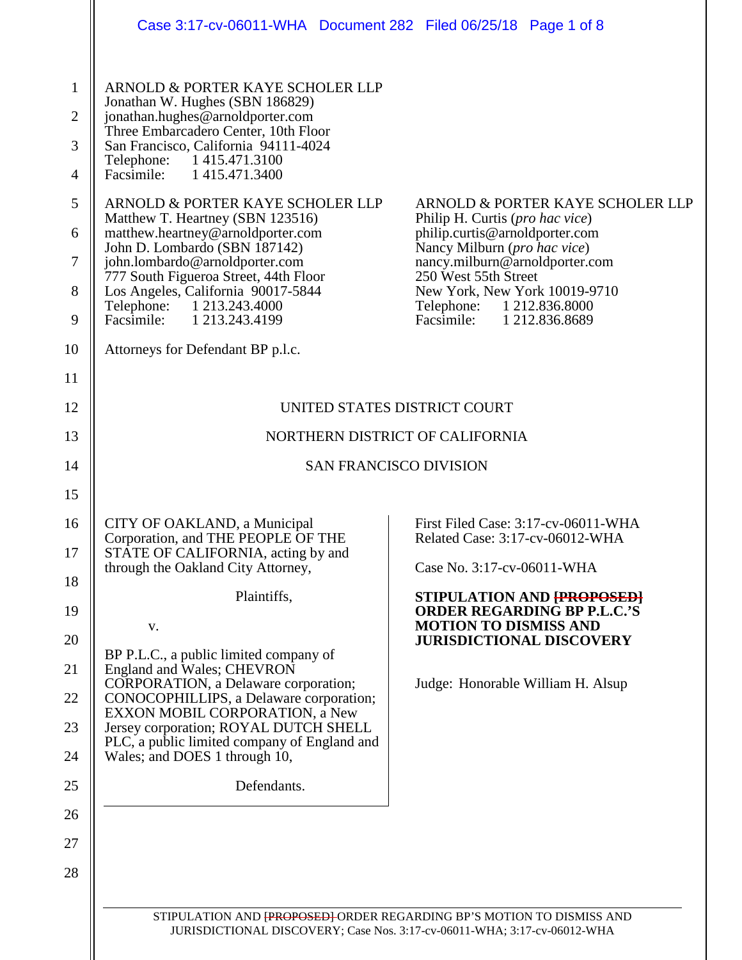|                                                                                     | Case 3:17-cv-06011-WHA  Document 282  Filed 06/25/18  Page 1 of 8                                                                                                                                                                                                                                                                                                                                                                                                                                                                                                         |                                                                                                                                                                                                                                                                                            |  |
|-------------------------------------------------------------------------------------|---------------------------------------------------------------------------------------------------------------------------------------------------------------------------------------------------------------------------------------------------------------------------------------------------------------------------------------------------------------------------------------------------------------------------------------------------------------------------------------------------------------------------------------------------------------------------|--------------------------------------------------------------------------------------------------------------------------------------------------------------------------------------------------------------------------------------------------------------------------------------------|--|
| $\mathbf{1}$<br>$\overline{2}$<br>3<br>$\overline{4}$<br>5<br>6<br>$\tau$<br>8<br>9 | ARNOLD & PORTER KAYE SCHOLER LLP<br>Jonathan W. Hughes (SBN 186829)<br>jonathan.hughes@arnoldporter.com<br>Three Embarcadero Center, 10th Floor<br>San Francisco, California 94111-4024<br>Telephone: 1415.471.3100<br>Facsimile: 1 415.471.3400<br>ARNOLD & PORTER KAYE SCHOLER LLP<br>Matthew T. Heartney (SBN 123516)<br>matthew.heartney@arnoldporter.com<br>John D. Lombardo (SBN 187142)<br>john.lombardo@arnoldporter.com<br>777 South Figueroa Street, 44th Floor<br>Los Angeles, California 90017-5844<br>Telephone: 1 213.243.4000<br>Facsimile: 1 213.243.4199 | ARNOLD & PORTER KAYE SCHOLER LLP<br>Philip H. Curtis (pro hac vice)<br>philip.curtis@arnoldporter.com<br>Nancy Milburn (pro hac vice)<br>nancy.milburn@arnoldporter.com<br>250 West 55th Street<br>New York, New York 10019-9710<br>Telephone: 1 212.836.8000<br>Facsimile: 1 212.836.8689 |  |
| 10                                                                                  | Attorneys for Defendant BP p.l.c.                                                                                                                                                                                                                                                                                                                                                                                                                                                                                                                                         |                                                                                                                                                                                                                                                                                            |  |
| 11<br>12<br>13                                                                      | UNITED STATES DISTRICT COURT                                                                                                                                                                                                                                                                                                                                                                                                                                                                                                                                              |                                                                                                                                                                                                                                                                                            |  |
|                                                                                     | NORTHERN DISTRICT OF CALIFORNIA                                                                                                                                                                                                                                                                                                                                                                                                                                                                                                                                           |                                                                                                                                                                                                                                                                                            |  |
| 14<br>15                                                                            |                                                                                                                                                                                                                                                                                                                                                                                                                                                                                                                                                                           | <b>SAN FRANCISCO DIVISION</b>                                                                                                                                                                                                                                                              |  |
| 16<br>17<br>18<br>19<br>20<br>21<br>22<br>23<br>24<br>25<br>26                      | CITY OF OAKLAND, a Municipal<br>Corporation, and THE PEOPLE OF THE<br>STATE OF CALIFORNIA, acting by and<br>through the Oakland City Attorney,<br>Plaintiffs,<br>V.<br>BP P.L.C., a public limited company of<br>England and Wales; CHEVRON<br>CORPORATION, a Delaware corporation;<br>CONOCOPHILLIPS, a Delaware corporation;<br>EXXON MOBIL CORPORATION, a New<br>Jersey corporation; ROYAL DUTCH SHELL<br>PLC, a public limited company of England and<br>Wales; and DOES 1 through 10,<br>Defendants.                                                                 | First Filed Case: 3:17-cv-06011-WHA<br>Related Case: 3:17-cv-06012-WHA<br>Case No. 3:17-cv-06011-WHA<br>STIPULATION AND [PROPOSED]<br><b>ORDER REGARDING BP P.L.C.'S</b><br><b>MOTION TO DISMISS AND</b><br><b>JURISDICTIONAL DISCOVERY</b><br>Judge: Honorable William H. Alsup           |  |
| 27<br>28                                                                            | STIPULATION AND FROPOSED ORDER REGARDING BP'S MOTION TO DISMISS AND                                                                                                                                                                                                                                                                                                                                                                                                                                                                                                       |                                                                                                                                                                                                                                                                                            |  |

JURISDICTIONAL DISCOVERY; Case Nos. 3:17-cv-06011-WHA; 3:17-cv-06012-WHA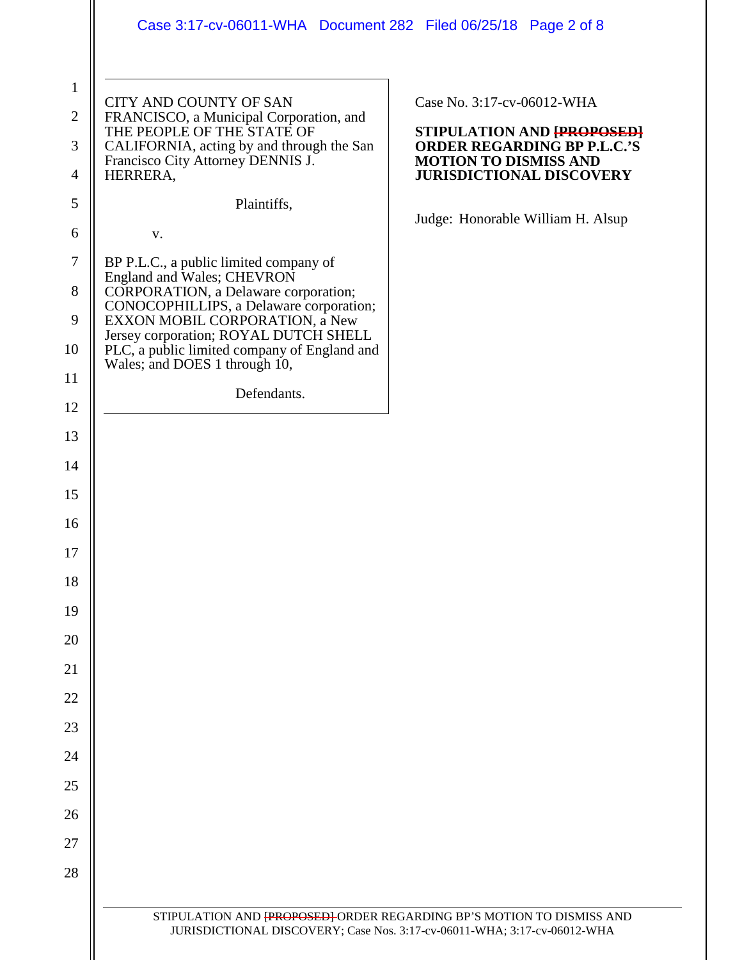|                               | Case 3:17-cv-06011-WHA Document 282 Filed 06/25/18 Page 2 of 8                                                         |                                                                                                                                                 |
|-------------------------------|------------------------------------------------------------------------------------------------------------------------|-------------------------------------------------------------------------------------------------------------------------------------------------|
| $\mathbf 1$<br>$\overline{2}$ | CITY AND COUNTY OF SAN<br>FRANCISCO, a Municipal Corporation, and<br>THE PEOPLE OF THE STATE OF                        | Case No. 3:17-cv-06012-WHA<br>STIPULATION AND <b>{PROPOSED}</b>                                                                                 |
| 3<br>4                        | CALIFORNIA, acting by and through the San<br>Francisco City Attorney DENNIS J.<br>HERRERA,                             | <b>ORDER REGARDING BP P.L.C.'S</b><br><b>MOTION TO DISMISS AND</b><br><b>JURISDICTIONAL DISCOVERY</b>                                           |
| 5                             | Plaintiffs,                                                                                                            |                                                                                                                                                 |
| 6                             | V.                                                                                                                     | Judge: Honorable William H. Alsup                                                                                                               |
| $\tau$<br>8                   | BP P.L.C., a public limited company of<br>England and Wales; CHEVRON<br>CORPORATION, a Delaware corporation;           |                                                                                                                                                 |
| 9                             | CONOCOPHILLIPS, a Delaware corporation;<br>EXXON MOBIL CORPORATION, a New                                              |                                                                                                                                                 |
| 10                            | Jersey corporation; ROYAL DUTCH SHELL<br>PLC, a public limited company of England and<br>Wales; and DOES 1 through 10, |                                                                                                                                                 |
| 11                            | Defendants.                                                                                                            |                                                                                                                                                 |
| 12<br>13                      |                                                                                                                        |                                                                                                                                                 |
| 14                            |                                                                                                                        |                                                                                                                                                 |
| 15                            |                                                                                                                        |                                                                                                                                                 |
| 16                            |                                                                                                                        |                                                                                                                                                 |
| 17                            |                                                                                                                        |                                                                                                                                                 |
| 18                            |                                                                                                                        |                                                                                                                                                 |
| 19                            |                                                                                                                        |                                                                                                                                                 |
| 20                            |                                                                                                                        |                                                                                                                                                 |
| 21                            |                                                                                                                        |                                                                                                                                                 |
| 22<br>23                      |                                                                                                                        |                                                                                                                                                 |
| 24                            |                                                                                                                        |                                                                                                                                                 |
| 25                            |                                                                                                                        |                                                                                                                                                 |
| 26                            |                                                                                                                        |                                                                                                                                                 |
| 27                            |                                                                                                                        |                                                                                                                                                 |
| 28                            |                                                                                                                        |                                                                                                                                                 |
|                               |                                                                                                                        | STIPULATION AND FROPOSED ORDER REGARDING BP'S MOTION TO DISMISS AND<br>JURISDICTIONAL DISCOVERY; Case Nos. 3:17-cv-06011-WHA; 3:17-cv-06012-WHA |
|                               |                                                                                                                        |                                                                                                                                                 |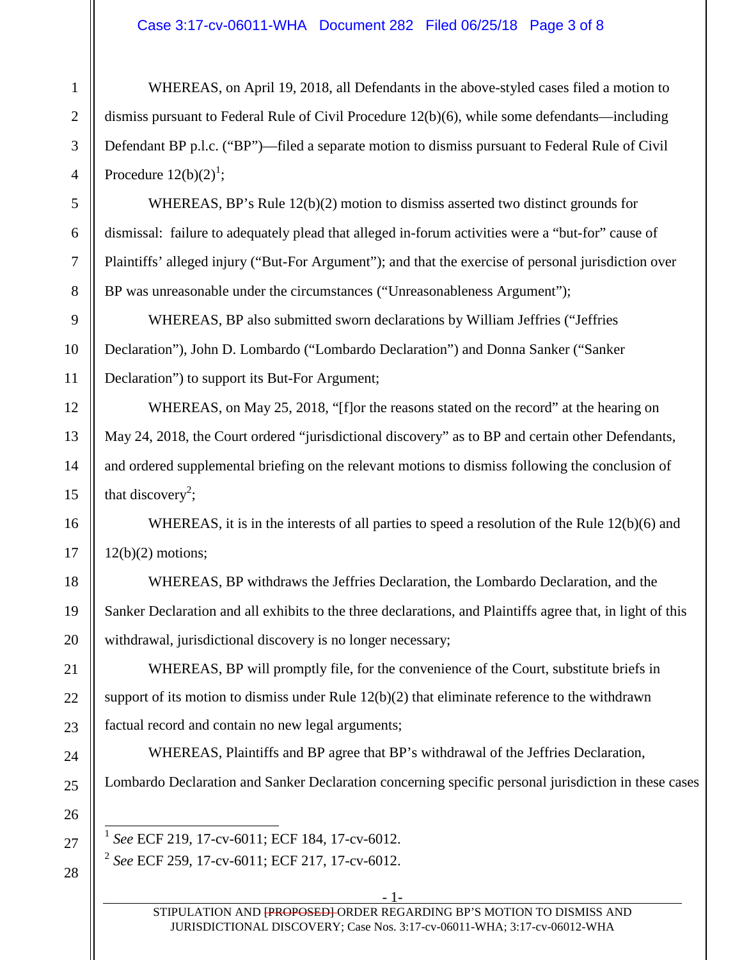## Case 3:17-cv-06011-WHA Document 282 Filed 06/25/18 Page 3 of 8

WHEREAS, on April 19, 2018, all Defendants in the above-styled cases filed a motion to dismiss pursuant to Federal Rule of Civil Procedure 12(b)(6), while some defendants—including Defendant BP p.l.c. ("BP")—filed a separate motion to dismiss pursuant to Federal Rule of Civil Procedure  $12(b)(2)^1$ ;

WHEREAS, BP's Rule 12(b)(2) motion to dismiss asserted two distinct grounds for dismissal: failure to adequately plead that alleged in-forum activities were a "but-for" cause of Plaintiffs' alleged injury ("But-For Argument"); and that the exercise of personal jurisdiction over BP was unreasonable under the circumstances ("Unreasonableness Argument");

WHEREAS, BP also submitted sworn declarations by William Jeffries ("Jeffries Declaration"), John D. Lombardo ("Lombardo Declaration") and Donna Sanker ("Sanker Declaration") to support its But-For Argument;

WHEREAS, on May 25, 2018, "[f]or the reasons stated on the record" at the hearing on May 24, 2018, the Court ordered "jurisdictional discovery" as to BP and certain other Defendants, and ordered supplemental briefing on the relevant motions to dismiss following the conclusion of that discovery<sup>2</sup>;

WHEREAS, it is in the interests of all parties to speed a resolution of the Rule 12(b)(6) and 12(b)(2) motions;

WHEREAS, BP withdraws the Jeffries Declaration, the Lombardo Declaration, and the Sanker Declaration and all exhibits to the three declarations, and Plaintiffs agree that, in light of this withdrawal, jurisdictional discovery is no longer necessary;

WHEREAS, BP will promptly file, for the convenience of the Court, substitute briefs in support of its motion to dismiss under Rule  $12(b)(2)$  that eliminate reference to the withdrawn factual record and contain no new legal arguments;

WHEREAS, Plaintiffs and BP agree that BP's withdrawal of the Jeffries Declaration, Lombardo Declaration and Sanker Declaration concerning specific personal jurisdiction in these cases

1 *See* ECF 219, 17-cv-6011; ECF 184, 17-cv-6012. 2 *See* ECF 259, 17-cv-6011; ECF 217, 17-cv-6012.

1

2

- 1-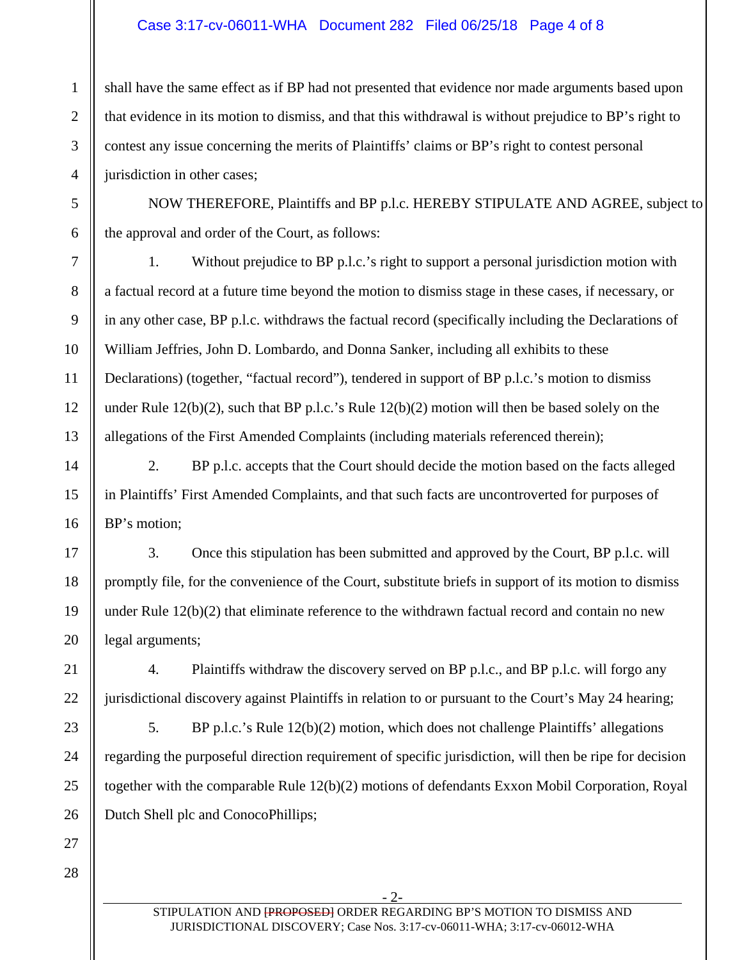## Case 3:17-cv-06011-WHA Document 282 Filed 06/25/18 Page 4 of 8

shall have the same effect as if BP had not presented that evidence nor made arguments based upon that evidence in its motion to dismiss, and that this withdrawal is without prejudice to BP's right to contest any issue concerning the merits of Plaintiffs' claims or BP's right to contest personal jurisdiction in other cases;

NOW THEREFORE, Plaintiffs and BP p.l.c. HEREBY STIPULATE AND AGREE, subject to the approval and order of the Court, as follows:

1. Without prejudice to BP p.l.c.'s right to support a personal jurisdiction motion with a factual record at a future time beyond the motion to dismiss stage in these cases, if necessary, or in any other case, BP p.l.c. withdraws the factual record (specifically including the Declarations of William Jeffries, John D. Lombardo, and Donna Sanker, including all exhibits to these Declarations) (together, "factual record"), tendered in support of BP p.l.c.'s motion to dismiss under Rule  $12(b)(2)$ , such that BP p.l.c.'s Rule  $12(b)(2)$  motion will then be based solely on the allegations of the First Amended Complaints (including materials referenced therein);

2. BP p.l.c. accepts that the Court should decide the motion based on the facts alleged in Plaintiffs' First Amended Complaints, and that such facts are uncontroverted for purposes of BP's motion;

3. Once this stipulation has been submitted and approved by the Court, BP p.l.c. will promptly file, for the convenience of the Court, substitute briefs in support of its motion to dismiss under Rule  $12(b)(2)$  that eliminate reference to the withdrawn factual record and contain no new legal arguments;

4. Plaintiffs withdraw the discovery served on BP p.l.c., and BP p.l.c. will forgo any jurisdictional discovery against Plaintiffs in relation to or pursuant to the Court's May 24 hearing;

5. BP p.l.c.'s Rule 12(b)(2) motion, which does not challenge Plaintiffs' allegations regarding the purposeful direction requirement of specific jurisdiction, will then be ripe for decision together with the comparable Rule 12(b)(2) motions of defendants Exxon Mobil Corporation, Royal Dutch Shell plc and ConocoPhillips;

1

2

3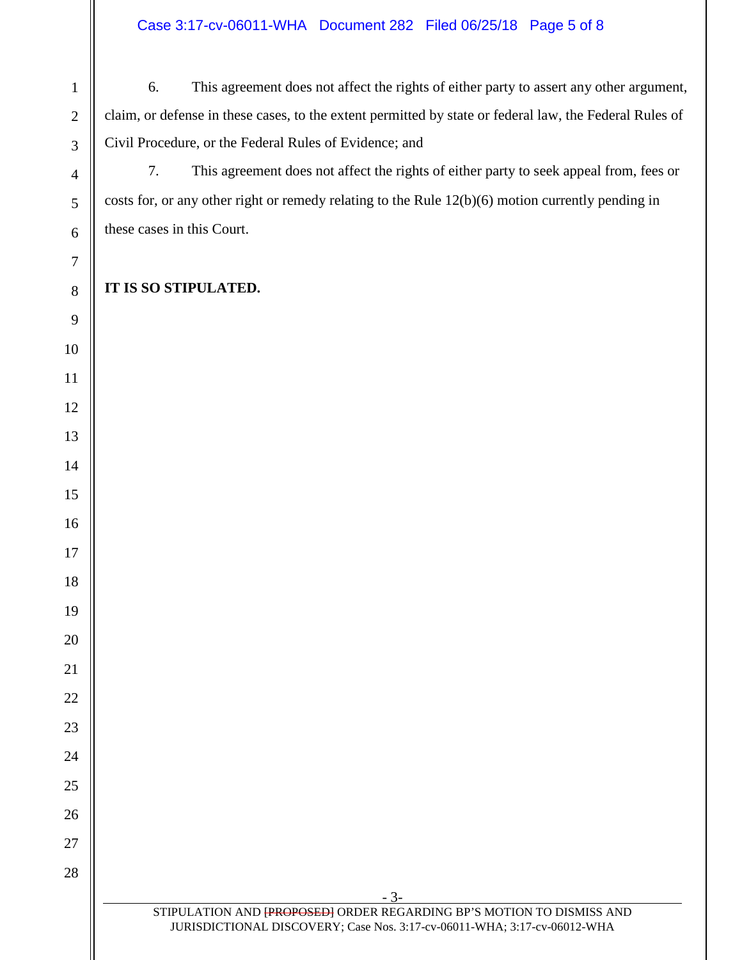6. This agreement does not affect the rights of either party to assert any other argument, claim, or defense in these cases, to the extent permitted by state or federal law, the Federal Rules of Civil Procedure, or the Federal Rules of Evidence; and

7. This agreement does not affect the rights of either party to seek appeal from, fees or costs for, or any other right or remedy relating to the Rule 12(b)(6) motion currently pending in these cases in this Court.

## **IT IS SO STIPULATED.**

- 3-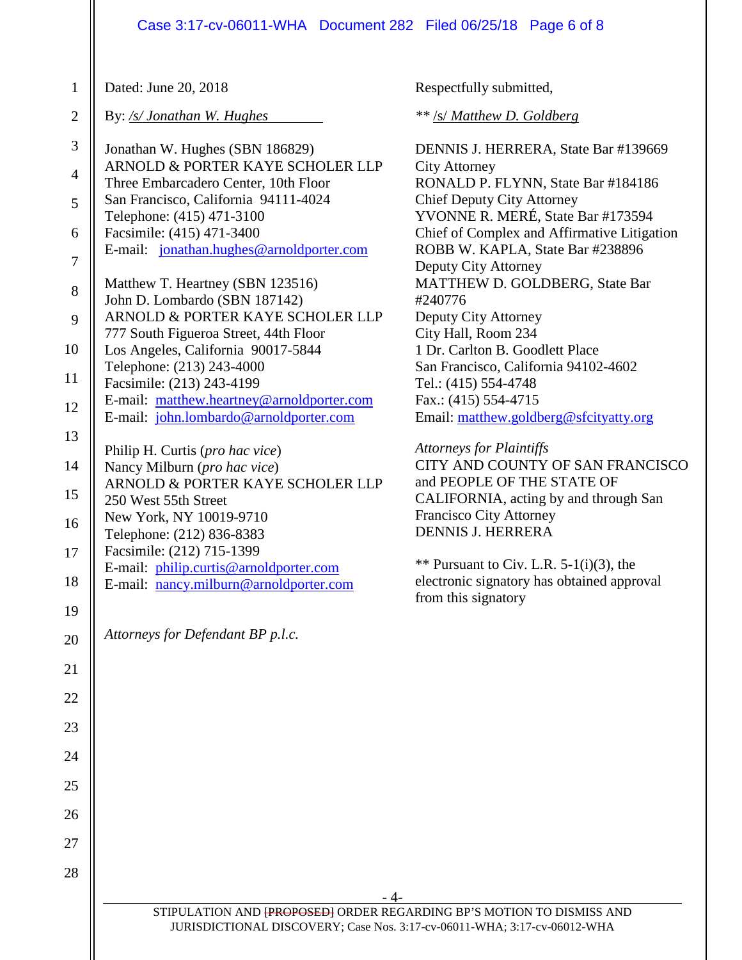| $\mathbf{1}$   | Dated: June 20, 2018                                                     | Respectfully submitted,                                                |
|----------------|--------------------------------------------------------------------------|------------------------------------------------------------------------|
| $\mathbf{2}$   | By: /s/ Jonathan W. Hughes                                               | ** /s/ Matthew D. Goldberg                                             |
| 3              | Jonathan W. Hughes (SBN 186829)                                          | DENNIS J. HERRERA, State Bar #139669                                   |
| $\overline{4}$ | ARNOLD & PORTER KAYE SCHOLER LLP<br>Three Embarcadero Center, 10th Floor | <b>City Attorney</b><br>RONALD P. FLYNN, State Bar #184186             |
| 5              | San Francisco, California 94111-4024<br>Telephone: (415) 471-3100        | <b>Chief Deputy City Attorney</b><br>YVONNE R. MERÉ, State Bar #173594 |
| 6              | Facsimile: (415) 471-3400                                                | Chief of Complex and Affirmative Litigation                            |
| $\overline{7}$ | E-mail: jonathan.hughes@arnoldporter.com                                 | ROBB W. KAPLA, State Bar #238896<br>Deputy City Attorney               |
| 8              | Matthew T. Heartney (SBN 123516)                                         | MATTHEW D. GOLDBERG, State Bar                                         |
| 9              | John D. Lombardo (SBN 187142)<br>ARNOLD & PORTER KAYE SCHOLER LLP        | #240776<br>Deputy City Attorney                                        |
|                | 777 South Figueroa Street, 44th Floor                                    | City Hall, Room 234                                                    |
| 10             | Los Angeles, California 90017-5844                                       | 1 Dr. Carlton B. Goodlett Place                                        |
| 11             | Telephone: (213) 243-4000<br>Facsimile: (213) 243-4199                   | San Francisco, California 94102-4602<br>Tel.: (415) 554-4748           |
|                | E-mail: matthew.heartney@arnoldporter.com                                | Fax.: $(415)$ 554-4715                                                 |
| 12             | E-mail: john.lombardo@arnoldporter.com                                   | Email: matthew.goldberg@sfcityatty.org                                 |
| 13             | Philip H. Curtis (pro hac vice)                                          | <b>Attorneys for Plaintiffs</b>                                        |
| 14             | Nancy Milburn (pro hac vice)                                             | CITY AND COUNTY OF SAN FRANCISCO                                       |
| 15             | ARNOLD & PORTER KAYE SCHOLER LLP<br>250 West 55th Street                 | and PEOPLE OF THE STATE OF<br>CALIFORNIA, acting by and through San    |
| 16             | New York, NY 10019-9710                                                  | <b>Francisco City Attorney</b>                                         |
|                | Telephone: (212) 836-8383                                                | <b>DENNIS J. HERRERA</b>                                               |
| 17             | Facsimile: (212) 715-1399<br>E-mail: philip.curtis@arnoldporter.com      | ** Pursuant to Civ. L.R. $5-1(i)(3)$ , the                             |
| 18             | E-mail: nancy.milburn@arnoldporter.com                                   | electronic signatory has obtained approval                             |
| 19             |                                                                          | from this signatory                                                    |
| 20             | Attorneys for Defendant BP p.l.c.                                        |                                                                        |
| 21             |                                                                          |                                                                        |
| 22             |                                                                          |                                                                        |
| 23             |                                                                          |                                                                        |
| 24             |                                                                          |                                                                        |
| 25             |                                                                          |                                                                        |
| 26             |                                                                          |                                                                        |
| 27             |                                                                          |                                                                        |
| 28             |                                                                          |                                                                        |
|                | - 4-                                                                     |                                                                        |
|                | STIPULATION AND FROPOSED ORDER REGARDING BP'S MOTION TO DISMISS AND      |                                                                        |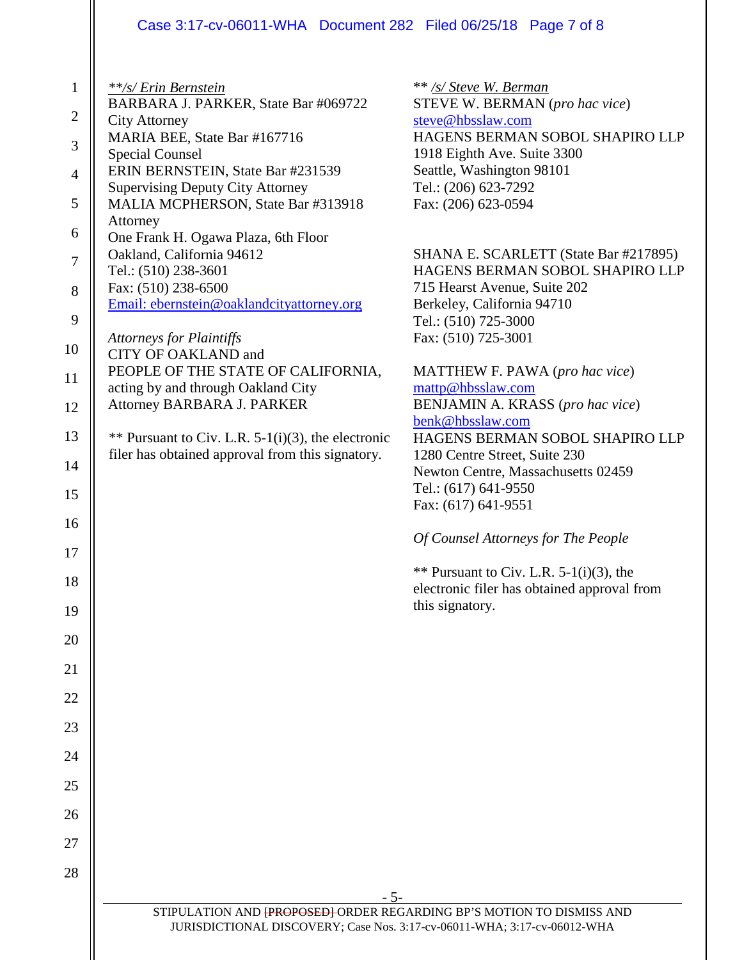## Case 3:17-cv-06011-WHA Document 282 Filed 06/25/18 Page 7 of 8

| $\mathbf{1}$     | **/s/ Erin Bernstein                                                          | ** /s/ Steve W. Berman                                                   |
|------------------|-------------------------------------------------------------------------------|--------------------------------------------------------------------------|
| $\mathbf{2}$     | BARBARA J. PARKER, State Bar #069722<br><b>City Attorney</b>                  | STEVE W. BERMAN (pro hac vice)<br>steve@hbsslaw.com                      |
| $\mathfrak{Z}$   | MARIA BEE, State Bar #167716                                                  | HAGENS BERMAN SOBOL SHAPIRO LLP                                          |
|                  | <b>Special Counsel</b>                                                        | 1918 Eighth Ave. Suite 3300                                              |
| $\overline{4}$   | ERIN BERNSTEIN, State Bar #231539                                             | Seattle, Washington 98101                                                |
| 5                | <b>Supervising Deputy City Attorney</b><br>MALIA MCPHERSON, State Bar #313918 | Tel.: (206) 623-7292<br>Fax: (206) 623-0594                              |
| 6                | Attorney<br>One Frank H. Ogawa Plaza, 6th Floor                               |                                                                          |
| $\boldsymbol{7}$ | Oakland, California 94612<br>Tel.: (510) 238-3601                             | SHANA E. SCARLETT (State Bar #217895)<br>HAGENS BERMAN SOBOL SHAPIRO LLP |
| 8                | Fax: (510) 238-6500                                                           | 715 Hearst Avenue, Suite 202                                             |
| 9                | Email: ebernstein@oaklandcityattorney.org                                     | Berkeley, California 94710                                               |
|                  | <b>Attorneys for Plaintiffs</b>                                               | Tel.: (510) 725-3000<br>Fax: (510) 725-3001                              |
| 10               | CITY OF OAKLAND and                                                           |                                                                          |
| 11               | PEOPLE OF THE STATE OF CALIFORNIA,<br>acting by and through Oakland City      | MATTHEW F. PAWA (pro hac vice)<br>mattp@hbsslaw.com                      |
| 12               | Attorney BARBARA J. PARKER                                                    | BENJAMIN A. KRASS (pro hac vice)                                         |
| 13               | ** Pursuant to Civ. L.R. $5-1(i)(3)$ , the electronic                         | benk@hbsslaw.com<br>HAGENS BERMAN SOBOL SHAPIRO LLP                      |
|                  | filer has obtained approval from this signatory.                              | 1280 Centre Street, Suite 230                                            |
| 14               |                                                                               | Newton Centre, Massachusetts 02459                                       |
| 15               |                                                                               | Tel.: (617) 641-9550<br>Fax: (617) 641-9551                              |
| 16               |                                                                               |                                                                          |
| 17               |                                                                               | Of Counsel Attorneys for The People                                      |
| 18               |                                                                               | ** Pursuant to Civ. L.R. $5-1(i)(3)$ , the                               |
| 19               |                                                                               | electronic filer has obtained approval from<br>this signatory.           |
| 20               |                                                                               |                                                                          |
| 21               |                                                                               |                                                                          |
| 22               |                                                                               |                                                                          |
| 23               |                                                                               |                                                                          |
| 24               |                                                                               |                                                                          |
| 25               |                                                                               |                                                                          |
|                  |                                                                               |                                                                          |
| 26               |                                                                               |                                                                          |
| 27               |                                                                               |                                                                          |
| 28               |                                                                               |                                                                          |
|                  | $-5-$<br>STIPULATION AND FROPOSED ORDER REGARDING BP'S MOTION TO DISMISS AND  |                                                                          |
|                  | JURISDICTIONAL DISCOVERY; Case Nos. 3:17-cv-06011-WHA; 3:17-cv-06012-WHA      |                                                                          |
|                  |                                                                               |                                                                          |